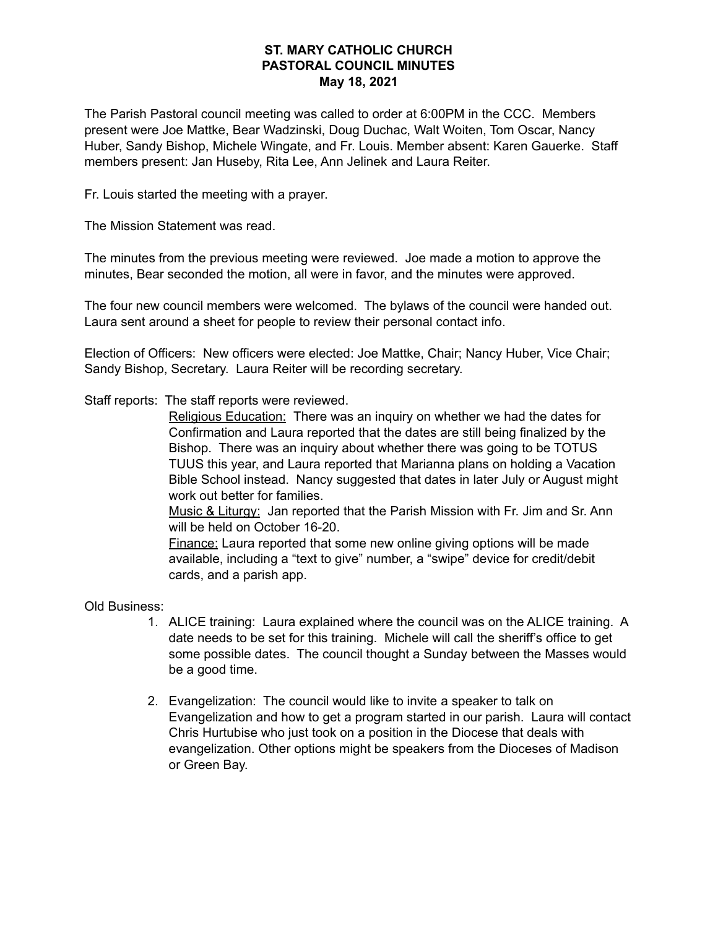## **ST. MARY CATHOLIC CHURCH PASTORAL COUNCIL MINUTES May 18, 2021**

The Parish Pastoral council meeting was called to order at 6:00PM in the CCC. Members present were Joe Mattke, Bear Wadzinski, Doug Duchac, Walt Woiten, Tom Oscar, Nancy Huber, Sandy Bishop, Michele Wingate, and Fr. Louis. Member absent: Karen Gauerke. Staff members present: Jan Huseby, Rita Lee, Ann Jelinek and Laura Reiter.

Fr. Louis started the meeting with a prayer.

The Mission Statement was read.

The minutes from the previous meeting were reviewed. Joe made a motion to approve the minutes, Bear seconded the motion, all were in favor, and the minutes were approved.

The four new council members were welcomed. The bylaws of the council were handed out. Laura sent around a sheet for people to review their personal contact info.

Election of Officers: New officers were elected: Joe Mattke, Chair; Nancy Huber, Vice Chair; Sandy Bishop, Secretary. Laura Reiter will be recording secretary.

Staff reports: The staff reports were reviewed.

Religious Education: There was an inquiry on whether we had the dates for Confirmation and Laura reported that the dates are still being finalized by the Bishop. There was an inquiry about whether there was going to be TOTUS TUUS this year, and Laura reported that Marianna plans on holding a Vacation Bible School instead. Nancy suggested that dates in later July or August might work out better for families.

Music & Liturgy: Jan reported that the Parish Mission with Fr. Jim and Sr. Ann will be held on October 16-20.

Finance: Laura reported that some new online giving options will be made available, including a "text to give" number, a "swipe" device for credit/debit cards, and a parish app.

Old Business:

- 1. ALICE training: Laura explained where the council was on the ALICE training. A date needs to be set for this training. Michele will call the sheriff's office to get some possible dates. The council thought a Sunday between the Masses would be a good time.
- 2. Evangelization: The council would like to invite a speaker to talk on Evangelization and how to get a program started in our parish. Laura will contact Chris Hurtubise who just took on a position in the Diocese that deals with evangelization. Other options might be speakers from the Dioceses of Madison or Green Bay.